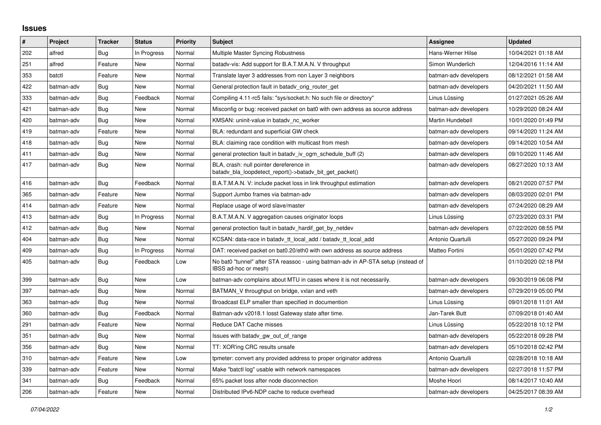## **Issues**

| $\vert$ # | Project    | <b>Tracker</b> | <b>Status</b> | Priority | <b>Subject</b>                                                                                            | Assignee              | <b>Updated</b>      |
|-----------|------------|----------------|---------------|----------|-----------------------------------------------------------------------------------------------------------|-----------------------|---------------------|
| 202       | alfred     | Bug            | In Progress   | Normal   | Multiple Master Syncing Robustness                                                                        | Hans-Werner Hilse     | 10/04/2021 01:18 AM |
| 251       | alfred     | Feature        | New           | Normal   | batady-vis: Add support for B.A.T.M.A.N. V throughput                                                     | Simon Wunderlich      | 12/04/2016 11:14 AM |
| 353       | batctl     | Feature        | New           | Normal   | Translate layer 3 addresses from non Layer 3 neighbors                                                    | batman-adv developers | 08/12/2021 01:58 AM |
| 422       | batman-adv | <b>Bug</b>     | New           | Normal   | General protection fault in batady_orig_router_get                                                        | batman-adv developers | 04/20/2021 11:50 AM |
| 333       | batman-adv | Bug            | Feedback      | Normal   | Compiling 4.11-rc5 fails: "sys/socket.h: No such file or directory"                                       | Linus Lüssing         | 01/27/2021 05:26 AM |
| 421       | batman-adv | Bug            | New           | Normal   | Misconfig or bug: received packet on bat0 with own address as source address                              | batman-adv developers | 10/29/2020 08:24 AM |
| 420       | batman-adv | Bug            | New           | Normal   | KMSAN: uninit-value in batady nc worker                                                                   | Martin Hundebøll      | 10/01/2020 01:49 PM |
| 419       | batman-adv | Feature        | <b>New</b>    | Normal   | BLA: redundant and superficial GW check                                                                   | batman-adv developers | 09/14/2020 11:24 AM |
| 418       | batman-adv | Bug            | New           | Normal   | BLA: claiming race condition with multicast from mesh                                                     | batman-adv developers | 09/14/2020 10:54 AM |
| 411       | batman-adv | Bug            | <b>New</b>    | Normal   | general protection fault in batady iv ogm_schedule_buff (2)                                               | batman-adv developers | 09/10/2020 11:46 AM |
| 417       | batman-adv | Bug            | New           | Normal   | BLA, crash: null pointer dereference in<br>batady bla loopdetect report()->batady bit get packet()        | batman-adv developers | 08/27/2020 10:13 AM |
| 416       | batman-adv | Bug            | Feedback      | Normal   | B.A.T.M.A.N. V: include packet loss in link throughput estimation                                         | batman-adv developers | 08/21/2020 07:57 PM |
| 365       | batman-adv | Feature        | New           | Normal   | Support Jumbo frames via batman-adv                                                                       | batman-adv developers | 08/03/2020 02:01 PM |
| 414       | batman-adv | Feature        | New           | Normal   | Replace usage of word slave/master                                                                        | batman-adv developers | 07/24/2020 08:29 AM |
| 413       | batman-adv | <b>Bug</b>     | In Progress   | Normal   | B.A.T.M.A.N. V aggregation causes originator loops                                                        | Linus Lüssing         | 07/23/2020 03:31 PM |
| 412       | batman-adv | Bug            | New           | Normal   | general protection fault in batady hardif get by netdev                                                   | batman-adv developers | 07/22/2020 08:55 PM |
| 404       | batman-adv | <b>Bug</b>     | New           | Normal   | KCSAN: data-race in batady_tt_local_add / batady_tt_local_add                                             | Antonio Quartulli     | 05/27/2020 09:24 PM |
| 409       | batman-adv | Bug            | In Progress   | Normal   | DAT: received packet on bat0.20/eth0 with own address as source address                                   | Matteo Fortini        | 05/01/2020 07:42 PM |
| 405       | batman-adv | Bug            | Feedback      | Low      | No bat0 "tunnel" after STA reassoc - using batman-adv in AP-STA setup (instead of<br>IBSS ad-hoc or mesh) |                       | 01/10/2020 02:18 PM |
| 399       | batman-adv | Bug            | <b>New</b>    | Low      | batman-adv complains about MTU in cases where it is not necessarily.                                      | batman-adv developers | 09/30/2019 06:08 PM |
| 397       | batman-adv | Bug            | <b>New</b>    | Normal   | BATMAN V throughput on bridge, vxlan and veth                                                             | batman-adv developers | 07/29/2019 05:00 PM |
| 363       | batman-adv | Bug            | <b>New</b>    | Normal   | Broadcast ELP smaller than specified in documention                                                       | Linus Lüssing         | 09/01/2018 11:01 AM |
| 360       | batman-adv | Bug            | Feedback      | Normal   | Batman-adv v2018.1 losst Gateway state after time.                                                        | Jan-Tarek Butt        | 07/09/2018 01:40 AM |
| 291       | batman-adv | Feature        | New           | Normal   | Reduce DAT Cache misses                                                                                   | Linus Lüssing         | 05/22/2018 10:12 PM |
| 351       | batman-adv | Bug            | New           | Normal   | Issues with batady gw_out_of_range                                                                        | batman-adv developers | 05/22/2018 09:28 PM |
| 356       | batman-adv | Bug            | New           | Normal   | TT: XOR'ing CRC results unsafe                                                                            | batman-adv developers | 05/10/2018 02:42 PM |
| 310       | batman-adv | Feature        | New           | Low      | tpmeter: convert any provided address to proper originator address                                        | Antonio Quartulli     | 02/28/2018 10:18 AM |
| 339       | batman-adv | Feature        | <b>New</b>    | Normal   | Make "batctl log" usable with network namespaces                                                          | batman-adv developers | 02/27/2018 11:57 PM |
| 341       | batman-adv | Bug            | Feedback      | Normal   | 65% packet loss after node disconnection                                                                  | Moshe Hoori           | 08/14/2017 10:40 AM |
| 206       | batman-adv | Feature        | New           | Normal   | Distributed IPv6-NDP cache to reduce overhead                                                             | batman-adv developers | 04/25/2017 08:39 AM |